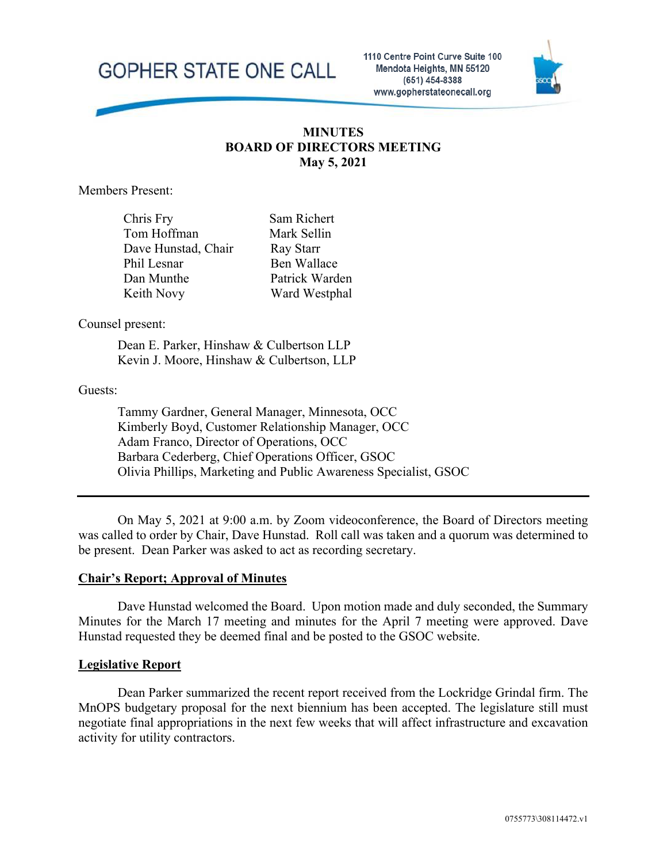

#### **MINUTES BOARD OF DIRECTORS MEETING May 5, 2021**

Members Present:

| Chris Fry           |  |
|---------------------|--|
| Tom Hoffman         |  |
| Dave Hunstad, Chair |  |
| Phil Lesnar         |  |
| Dan Munthe          |  |
| Keith Novy          |  |

Sam Richert Mark Sellin Ray Starr Ben Wallace Patrick Warden Ward Westphal

Counsel present:

Dean E. Parker, Hinshaw & Culbertson LLP Kevin J. Moore, Hinshaw & Culbertson, LLP

Guests:

Tammy Gardner, General Manager, Minnesota, OCC Kimberly Boyd, Customer Relationship Manager, OCC Adam Franco, Director of Operations, OCC Barbara Cederberg, Chief Operations Officer, GSOC Olivia Phillips, Marketing and Public Awareness Specialist, GSOC

On May 5, 2021 at 9:00 a.m. by Zoom videoconference, the Board of Directors meeting was called to order by Chair, Dave Hunstad. Roll call was taken and a quorum was determined to be present. Dean Parker was asked to act as recording secretary.

#### **Chair's Report; Approval of Minutes**

Dave Hunstad welcomed the Board. Upon motion made and duly seconded, the Summary Minutes for the March 17 meeting and minutes for the April 7 meeting were approved. Dave Hunstad requested they be deemed final and be posted to the GSOC website.

#### **Legislative Report**

Dean Parker summarized the recent report received from the Lockridge Grindal firm. The MnOPS budgetary proposal for the next biennium has been accepted. The legislature still must negotiate final appropriations in the next few weeks that will affect infrastructure and excavation activity for utility contractors.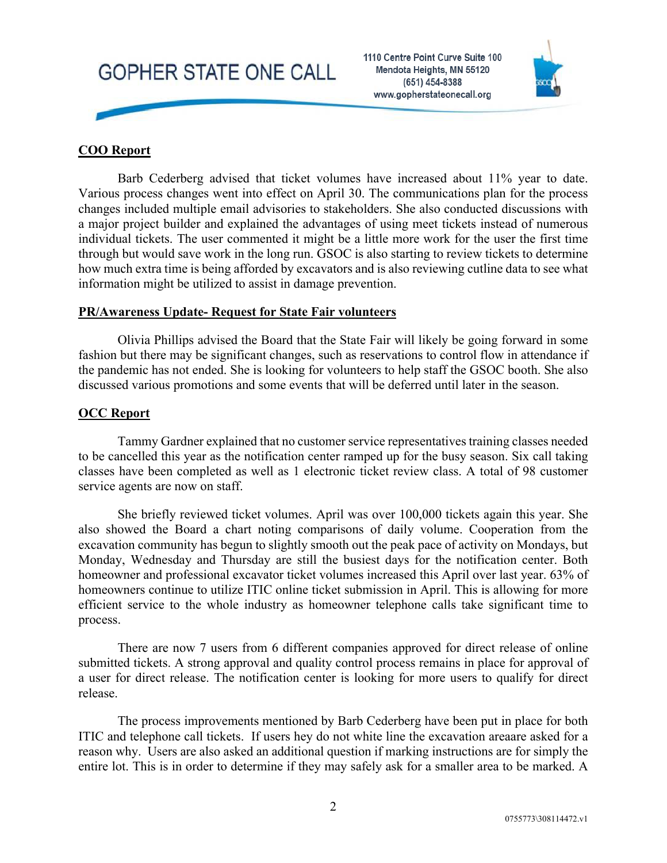

#### **COO Report**

Barb Cederberg advised that ticket volumes have increased about 11% year to date. Various process changes went into effect on April 30. The communications plan for the process changes included multiple email advisories to stakeholders. She also conducted discussions with a major project builder and explained the advantages of using meet tickets instead of numerous individual tickets. The user commented it might be a little more work for the user the first time through but would save work in the long run. GSOC is also starting to review tickets to determine how much extra time is being afforded by excavators and is also reviewing cutline data to see what information might be utilized to assist in damage prevention.

#### **PR/Awareness Update- Request for State Fair volunteers**

Olivia Phillips advised the Board that the State Fair will likely be going forward in some fashion but there may be significant changes, such as reservations to control flow in attendance if the pandemic has not ended. She is looking for volunteers to help staff the GSOC booth. She also discussed various promotions and some events that will be deferred until later in the season.

#### **OCC Report**

Tammy Gardner explained that no customer service representatives training classes needed to be cancelled this year as the notification center ramped up for the busy season. Six call taking classes have been completed as well as 1 electronic ticket review class. A total of 98 customer service agents are now on staff.

She briefly reviewed ticket volumes. April was over 100,000 tickets again this year. She also showed the Board a chart noting comparisons of daily volume. Cooperation from the excavation community has begun to slightly smooth out the peak pace of activity on Mondays, but Monday, Wednesday and Thursday are still the busiest days for the notification center. Both homeowner and professional excavator ticket volumes increased this April over last year. 63% of homeowners continue to utilize ITIC online ticket submission in April. This is allowing for more efficient service to the whole industry as homeowner telephone calls take significant time to process.

There are now 7 users from 6 different companies approved for direct release of online submitted tickets. A strong approval and quality control process remains in place for approval of a user for direct release. The notification center is looking for more users to qualify for direct release.

The process improvements mentioned by Barb Cederberg have been put in place for both ITIC and telephone call tickets. If users hey do not white line the excavation areaare asked for a reason why. Users are also asked an additional question if marking instructions are for simply the entire lot. This is in order to determine if they may safely ask for a smaller area to be marked. A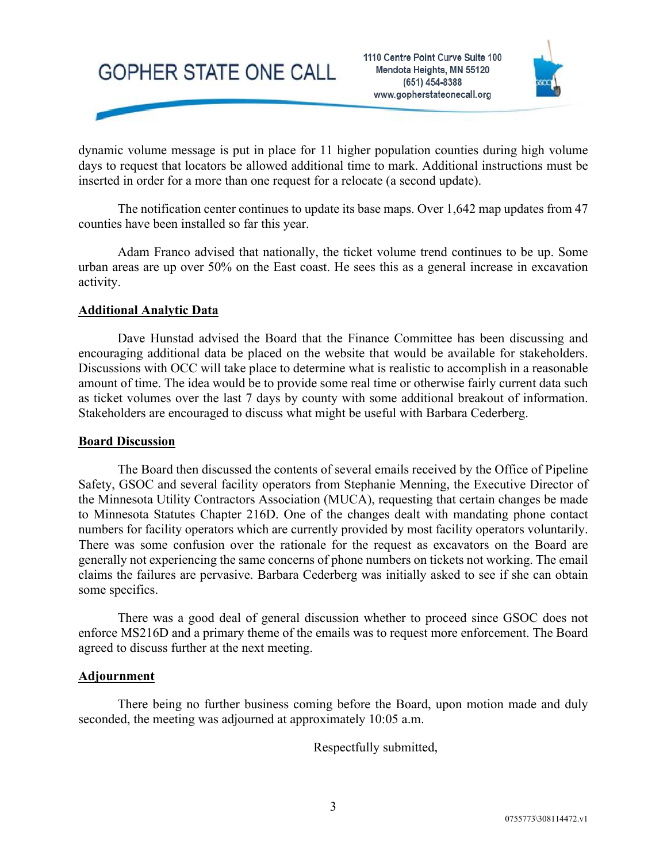

dynamic volume message is put in place for 11 higher population counties during high volume days to request that locators be allowed additional time to mark. Additional instructions must be inserted in order for a more than one request for a relocate (a second update).

The notification center continues to update its base maps. Over 1,642 map updates from 47 counties have been installed so far this year.

Adam Franco advised that nationally, the ticket volume trend continues to be up. Some urban areas are up over 50% on the East coast. He sees this as a general increase in excavation activity.

#### **Additional Analytic Data**

Dave Hunstad advised the Board that the Finance Committee has been discussing and encouraging additional data be placed on the website that would be available for stakeholders. Discussions with OCC will take place to determine what is realistic to accomplish in a reasonable amount of time. The idea would be to provide some real time or otherwise fairly current data such as ticket volumes over the last 7 days by county with some additional breakout of information. Stakeholders are encouraged to discuss what might be useful with Barbara Cederberg.

#### **Board Discussion**

The Board then discussed the contents of several emails received by the Office of Pipeline Safety, GSOC and several facility operators from Stephanie Menning, the Executive Director of the Minnesota Utility Contractors Association (MUCA), requesting that certain changes be made to Minnesota Statutes Chapter 216D. One of the changes dealt with mandating phone contact numbers for facility operators which are currently provided by most facility operators voluntarily. There was some confusion over the rationale for the request as excavators on the Board are generally not experiencing the same concerns of phone numbers on tickets not working. The email claims the failures are pervasive. Barbara Cederberg was initially asked to see if she can obtain some specifics.

There was a good deal of general discussion whether to proceed since GSOC does not enforce MS216D and a primary theme of the emails was to request more enforcement. The Board agreed to discuss further at the next meeting.

#### **Adjournment**

There being no further business coming before the Board, upon motion made and duly seconded, the meeting was adjourned at approximately 10:05 a.m.

Respectfully submitted,